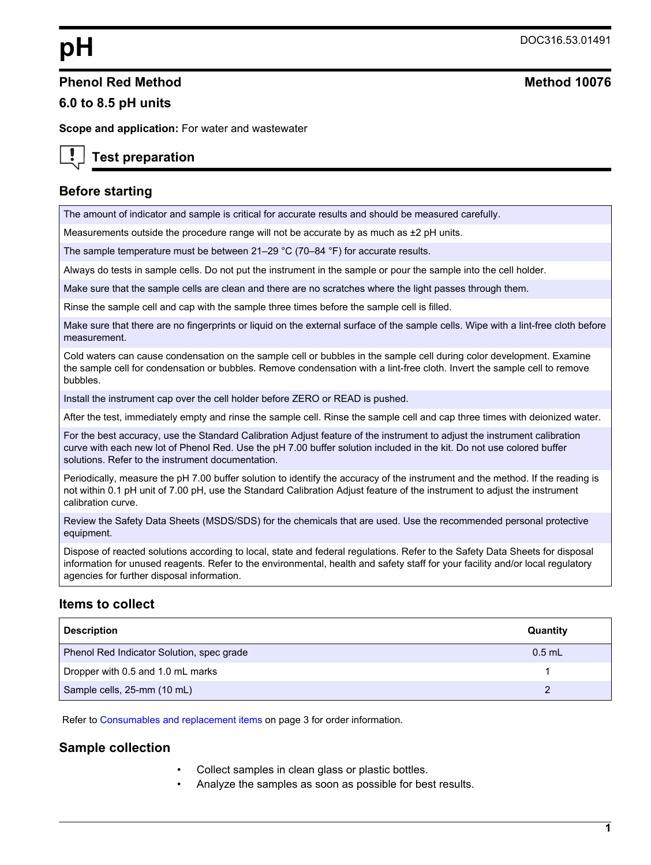#### **Phenol Red Method Method 10076**

#### **6.0 to 8.5 pH units**

**Scope and application:** For water and wastewater

# **Test preparation**

## **Before starting**

The amount of indicator and sample is critical for accurate results and should be measured carefully.

Measurements outside the procedure range will not be accurate by as much as  $±2$  pH units.

The sample temperature must be between 21–29 °C (70–84 °F) for accurate results.

Always do tests in sample cells. Do not put the instrument in the sample or pour the sample into the cell holder.

Make sure that the sample cells are clean and there are no scratches where the light passes through them.

Rinse the sample cell and cap with the sample three times before the sample cell is filled.

Make sure that there are no fingerprints or liquid on the external surface of the sample cells. Wipe with a lint-free cloth before measurement.

Cold waters can cause condensation on the sample cell or bubbles in the sample cell during color development. Examine the sample cell for condensation or bubbles. Remove condensation with a lint-free cloth. Invert the sample cell to remove bubbles.

Install the instrument cap over the cell holder before ZERO or READ is pushed.

After the test, immediately empty and rinse the sample cell. Rinse the sample cell and cap three times with deionized water.

For the best accuracy, use the Standard Calibration Adjust feature of the instrument to adjust the instrument calibration curve with each new lot of Phenol Red. Use the pH 7.00 buffer solution included in the kit. Do not use colored buffer solutions. Refer to the instrument documentation.

Periodically, measure the pH 7.00 buffer solution to identify the accuracy of the instrument and the method. If the reading is not within 0.1 pH unit of 7.00 pH, use the Standard Calibration Adjust feature of the instrument to adjust the instrument calibration curve.

Review the Safety Data Sheets (MSDS/SDS) for the chemicals that are used. Use the recommended personal protective equipment.

Dispose of reacted solutions according to local, state and federal regulations. Refer to the Safety Data Sheets for disposal information for unused reagents. Refer to the environmental, health and safety staff for your facility and/or local regulatory agencies for further disposal information.

## **Items to collect**

| <b>Description</b>                        | Quantity |
|-------------------------------------------|----------|
| Phenol Red Indicator Solution, spec grade | $0.5$ mL |
| Dropper with 0.5 and 1.0 mL marks         |          |
| Sample cells, 25-mm (10 mL)               |          |

Refer to [Consumables and replacement items o](#page-2-0)n page 3 for order information.

#### **Sample collection**

- Collect samples in clean glass or plastic bottles.
- Analyze the samples as soon as possible for best results.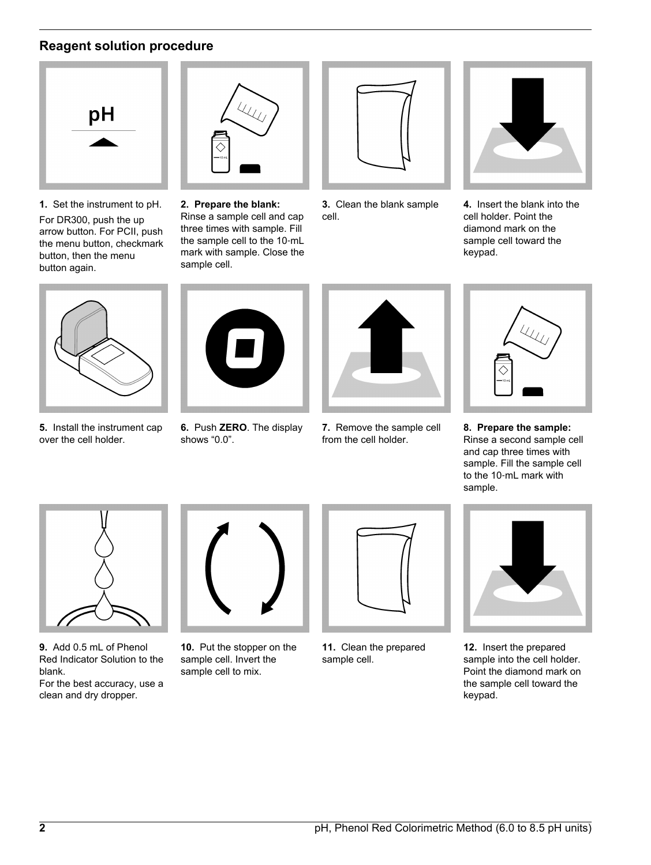# **Reagent solution procedure**



**1.** Set the instrument to pH. For DR300, push the up arrow button. For PCII, push the menu button, checkmark button, then the menu button again.



**5.** Install the instrument cap over the cell holder.



**2. Prepare the blank:** Rinse a sample cell and cap three times with sample. Fill the sample cell to the 10‑mL mark with sample. Close the sample cell.



**3.** Clean the blank sample cell.



**4.** Insert the blank into the cell holder. Point the diamond mark on the sample cell toward the keypad.



**6.** Push **ZERO**. The display shows "0.0".



**7.** Remove the sample cell from the cell holder.



**8. Prepare the sample:** Rinse a second sample cell and cap three times with sample. Fill the sample cell to the 10‑mL mark with sample.



- **9.** Add 0.5 mL of Phenol Red Indicator Solution to the blank.
- For the best accuracy, use a clean and dry dropper.



**10.** Put the stopper on the sample cell. Invert the sample cell to mix.



**11.** Clean the prepared sample cell.



**12.** Insert the prepared sample into the cell holder. Point the diamond mark on the sample cell toward the keypad.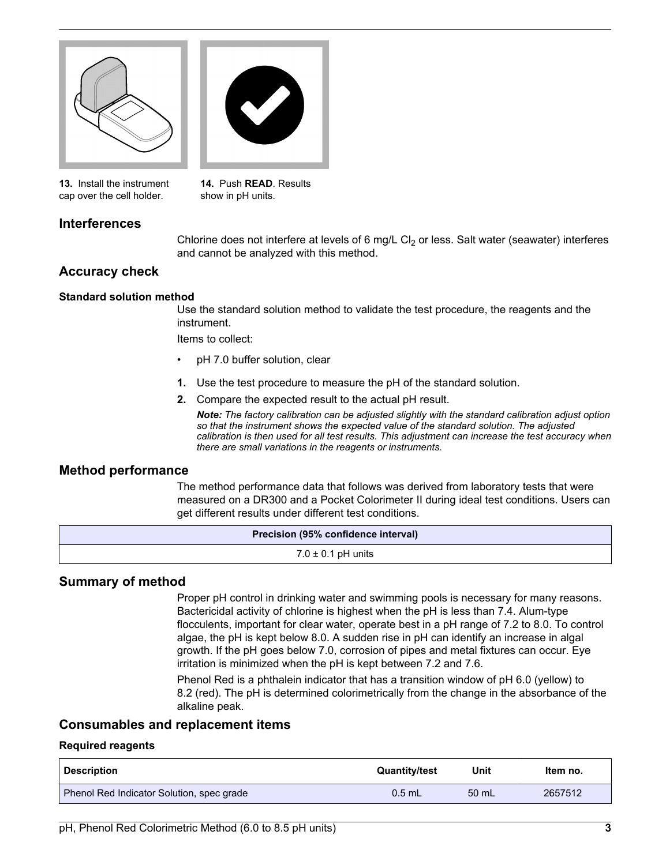

<span id="page-2-0"></span>

**13.** Install the instrument cap over the cell holder.

**14.** Push **READ**. Results show in pH units.

## **Interferences**

Chlorine does not interfere at levels of 6 mg/L  $Cl<sub>2</sub>$  or less. Salt water (seawater) interferes and cannot be analyzed with this method.

#### **Accuracy check**

#### **Standard solution method**

Use the standard solution method to validate the test procedure, the reagents and the instrument.

Items to collect:

- pH 7.0 buffer solution, clear
- **1.** Use the test procedure to measure the pH of the standard solution.
- **2.** Compare the expected result to the actual pH result.

*Note: The factory calibration can be adjusted slightly with the standard calibration adjust option so that the instrument shows the expected value of the standard solution. The adjusted calibration is then used for all test results. This adjustment can increase the test accuracy when there are small variations in the reagents or instruments.*

#### **Method performance**

The method performance data that follows was derived from laboratory tests that were measured on a DR300 and a Pocket Colorimeter II during ideal test conditions. Users can get different results under different test conditions.

| Precision (95% confidence interval) |  |
|-------------------------------------|--|
| $7.0 \pm 0.1$ pH units              |  |

#### **Summary of method**

Proper pH control in drinking water and swimming pools is necessary for many reasons. Bactericidal activity of chlorine is highest when the pH is less than 7.4. Alum-type flocculents, important for clear water, operate best in a pH range of 7.2 to 8.0. To control algae, the pH is kept below 8.0. A sudden rise in pH can identify an increase in algal growth. If the pH goes below 7.0, corrosion of pipes and metal fixtures can occur. Eye irritation is minimized when the pH is kept between 7.2 and 7.6.

Phenol Red is a phthalein indicator that has a transition window of pH 6.0 (yellow) to 8.2 (red). The pH is determined colorimetrically from the change in the absorbance of the alkaline peak.

## **Consumables and replacement items**

#### **Required reagents**

| Description                               | <b>Quantity/test</b> | Unit            | Item no. |
|-------------------------------------------|----------------------|-----------------|----------|
| Phenol Red Indicator Solution, spec grade | $0.5$ mL             | $50 \text{ mL}$ | 2657512  |